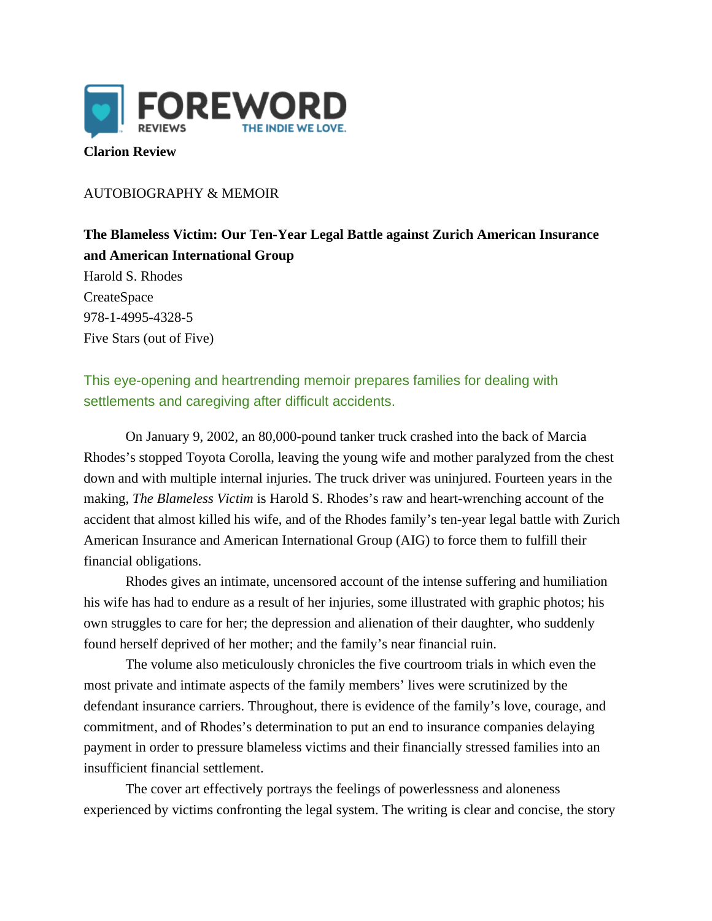

## **Clarion Review**

## AUTOBIOGRAPHY & MEMOIR

**The Blameless Victim: Our Ten-Year Legal Battle against Zurich American Insurance and American International Group** Harold S. Rhodes **CreateSpace** 978-1-4995-4328-5 Five Stars (out of Five)

This eye-opening and heartrending memoir prepares families for dealing with settlements and caregiving after difficult accidents.

On January 9, 2002, an 80,000-pound tanker truck crashed into the back of Marcia Rhodes's stopped Toyota Corolla, leaving the young wife and mother paralyzed from the chest down and with multiple internal injuries. The truck driver was uninjured. Fourteen years in the making, *The Blameless Victim* is Harold S. Rhodes's raw and heart-wrenching account of the accident that almost killed his wife, and of the Rhodes family's ten-year legal battle with Zurich American Insurance and American International Group (AIG) to force them to fulfill their financial obligations.

Rhodes gives an intimate, uncensored account of the intense suffering and humiliation his wife has had to endure as a result of her injuries, some illustrated with graphic photos; his own struggles to care for her; the depression and alienation of their daughter, who suddenly found herself deprived of her mother; and the family's near financial ruin.

The volume also meticulously chronicles the five courtroom trials in which even the most private and intimate aspects of the family members' lives were scrutinized by the defendant insurance carriers. Throughout, there is evidence of the family's love, courage, and commitment, and of Rhodes's determination to put an end to insurance companies delaying payment in order to pressure blameless victims and their financially stressed families into an insufficient financial settlement.

The cover art effectively portrays the feelings of powerlessness and aloneness experienced by victims confronting the legal system. The writing is clear and concise, the story